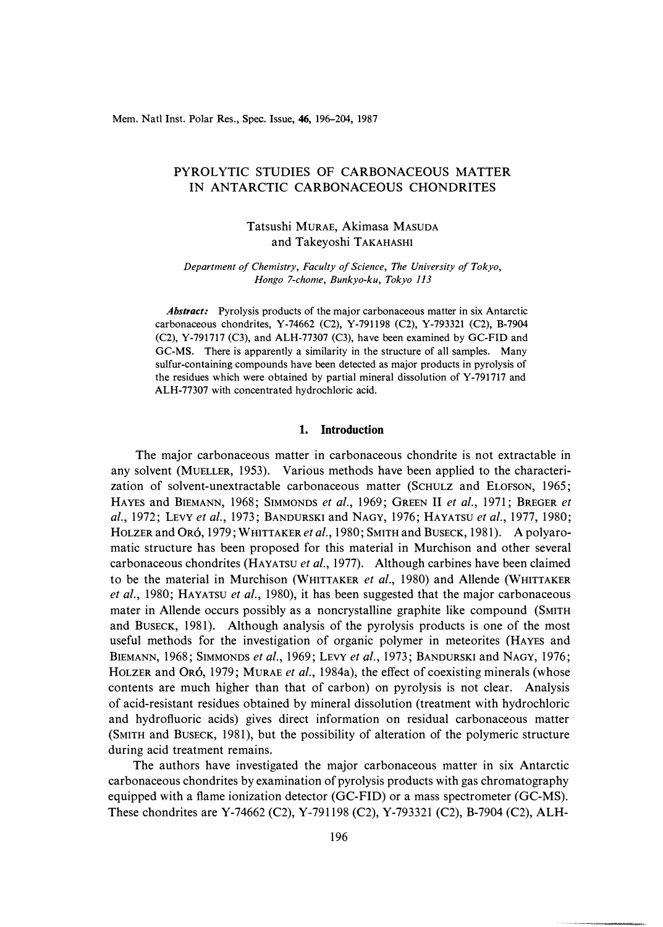Mem. Natl Inst. Polar Res., Spec. Issue, 46, 196-204, 1987

# PYROLYTIC STUDIES OF CARBONACEOUS MATTER IN ANTARCTIC CARBONACEOUS CHONDRITES

# Tatsushi MURAE, Akimasa MASUDA and Takeyoshi TAKAHASHI

*Department of Chemistry, Faculty of Science, The University of Tokyo, Hongo 7-chome, Bunkyo-ku, Tokyo 113* 

*Abstract:* Pyrolysis products of the major carbonaceous matter in six Antarctic carbonaceous chondrites, Y-74662 (C2), Y-791198 (C2), Y-793321 (C2), B-7904 (C2), Y-791717 (C3), and ALH-77307 (C3), have been examined by GC-FID and GC-MS. There is apparently a similarity in the structure of all samples. Many sulfur-containing compounds have been detected as major products in pyrolysis of the residues which were obtained by partial mineral dissolution of Y-791717 and ALH-77307 with concentrated hydrochloric acid.

### **1. Introduction**

The major carbonaceous matter in carbonaceous chondrite is not extractable in any solvent (MUELLER, 1953). Various methods have been applied to the characterization of solvent-unextractable carbonaceous matter (SCHULZ and ELOFSON, 1965; HAYES and BIEMANN, 1968; SIMMONDS *et al.,* 1969; GREEN II *et al.,* 1971; BREGER *et al.,* 1972; LEVY *et al.,* 1973; BANDURSKI and NAGY, 1976; HAYATSU *et al.,* 1977, 1980; HOLZER and 0R6, 1979; WHITTAKER *et al.,* 1980; SMITH and BUSECK, 1981). A polyaromatic structure has been proposed for this material in Murchison and other several carbonaceous chondrites (HAYATSU *et al.,* 1977). Although carbines have been claimed to be the material in Murchison (WHITTAKER *et al.,* 1980) and Allende (WHITTAKER *et al.,* 1980; HAYATSU *et al.,* 1980), it has been suggested that the major carbonaceous mater in Allende occurs possibly as a noncrystalline graphite like compound (SMITH and BUSECK, 1981). Although analysis of the pyrolysis products is one of the most useful methods for the investigation of organic polymer in meteorites (HAYES and BIEMANN, 1968; SIMMONDS *et al.,* 1969; LEVY *et al.,* 1973; BANDURSKI and NAGY, 1976; HOLZER and 0R6, 1979; MuRAE *et al.,* 1984a), the effect of coexisting minerals (whose contents are much higher than that of carbon) on pyrolysis is not clear. Analysis of acid-resistant residues obtained by mineral dissolution (treatment with hydrochloric and hydrofluoric acids) gives direct information on residual carbonaceous matter (SMITH and BUSECK, 1981), but the possibility of alteration of the polymeric structure during acid treatment remains.

The authors have investigated the major carbonaceous matter in six Antarctic carbonaceous chondrites by examination of pyrolysis products with gas chromatography equipped with a flame ionization detector (GC-FID) or a mass spectrometer (GC-MS). These chondrites are Y-74662 (C2), Y-791198 (C2), Y-793321 (C2), B-7904 (C2), ALH-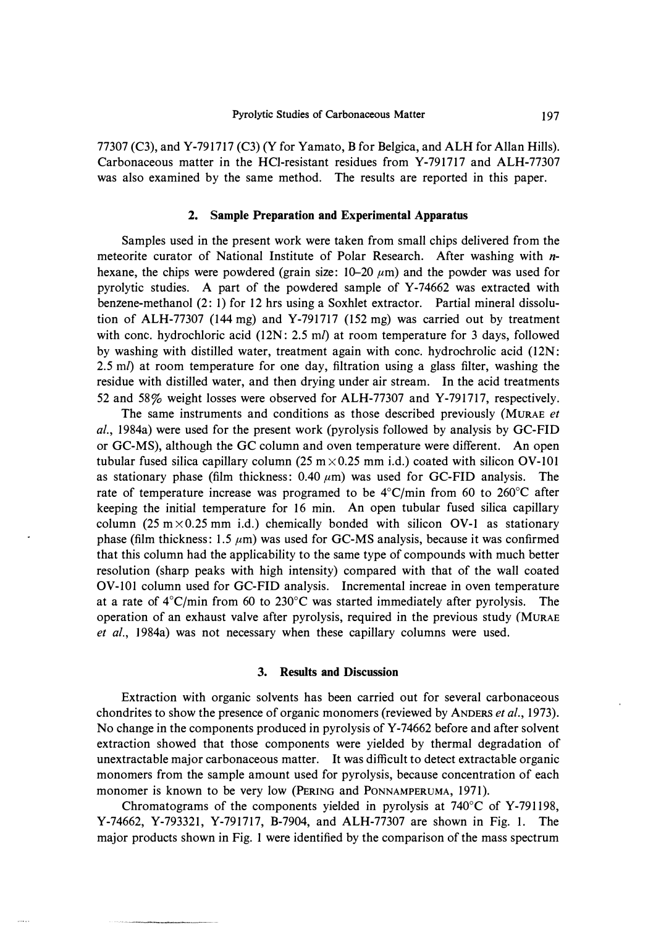77307 (C3), and Y-791717 (C3) (Y for Yamato, B for Belgica, and ALH for Allan Hills). Carbonaceous matter in the HCI-resistant residues from Y-791717 and ALH-77307 was also examined by the same method. The results are reported in this paper.

### **2. Sample Preparation and Experimental Apparatus**

Samples used in the present work were taken from small chips delivered from the meteorite curator of National Institute of Polar Research. After washing with *n*hexane, the chips were powdered (grain size:  $10-20 \mu m$ ) and the powder was used for pyrolytic studies. A part of the powdered sample of Y-74662 was extracted with benzene-methanol (2: 1) for 12 hrs using a Soxhlet extractor. Partial mineral dissolution of ALH-77307 (144 mg) and Y-791717 (152 mg) was carried out by treatment with cone. hydrochloric acid (12N: 2.5 *ml)* at room temperature for 3 days, followed by washing with distilled water, treatment again with cone. hydrochrolic acid (12N: 2.5 *ml)* at room temperature for one day, filtration using a glass filter, washing the residue with distilled water, and then drying under air stream. In the acid treatments 52 and 58% weight losses were observed for ALH-77307 and Y-791717, respectively.

The same instruments and conditions as those described previously (MURAE *et al.,* 1984a) were used for the present work (pyrolysis followed by analysis by GC-FID or GC-MS), although the GC column and oven temperature were different. An open tubular fused silica capillary column (25 m $\times$ 0.25 mm i.d.) coated with silicon OV-101 as stationary phase (film thickness:  $0.40 \mu m$ ) was used for GC-FID analysis. The rate of temperature increase was programed to be 4°C/min from 60 to 260°C after keeping the initial temperature for 16 min. An open tubular fused silica capillary column (25 m $\times$ 0.25 mm i.d.) chemically bonded with silicon OV-1 as stationary phase (film thickness:  $1.5 \mu m$ ) was used for GC-MS analysis, because it was confirmed that this column had the applicability to the same type of compounds with much better resolution (sharp peaks with high intensity) compared with that of the wall coated OV-101 column used for GC-FID analysis. Incremental increae in oven temperature at a rate of 4 °C/min from 60 to 230°C was started immediately after pyrolysis. The operation of an exhaust valve after pyrolysis, required in the previous study (MURAE *et al.,* 1984a) was not necessary when these capillary columns were used.

#### **3. Results and Discussion**

Extraction with organic solvents has been carried out for several carbonaceous chondrites to show the presence of organic monomers (reviewed by ANDERS *et al.,* 1973). No change in the components produced in pyrolysis of Y-74662 before and after solvent extraction showed that those components were yielded by thermal degradation of unextractable major carbonaceous matter. It was difficult to detect extractable organic monomers from the sample amount used for pyrolysis, because concentration of each monomer is known to be very low (PERING and PONNAMPERUMA, 1971).

Chromatograms of the components yielded in pyrolysis at 740°C of Y-791198, Y-74662, Y-793321, Y-791717, B-7904, and ALH-77307 are shown in Fig. I. The major products shown in Fig. 1 were identified by the comparison of the mass spectrum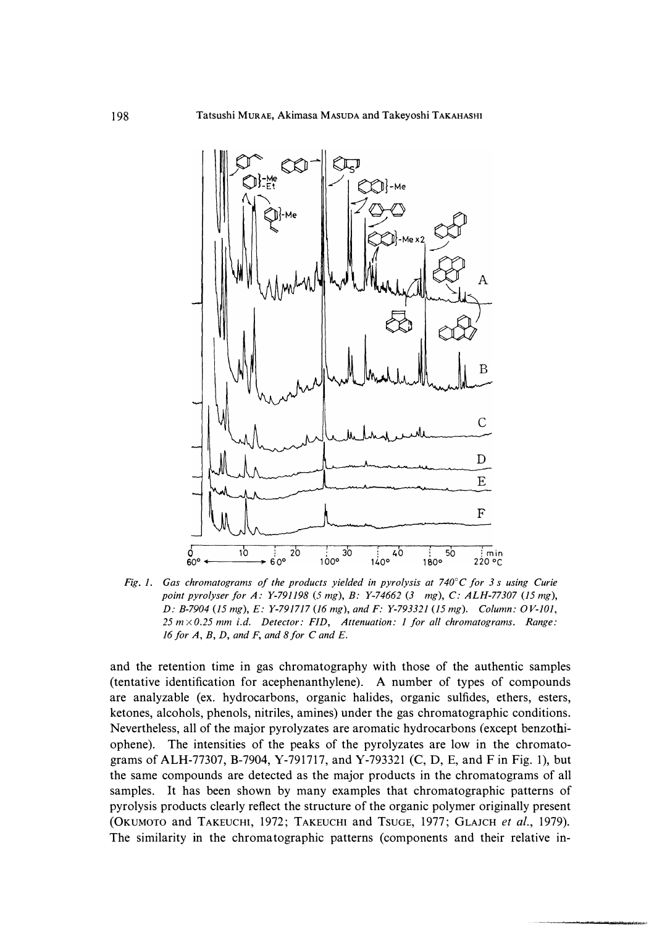

*Fig. 1. Gas chromatograms of the products yielded in pyrolysis at 740°C for 3 s using Curie point pyrolyser for A: Y-791198* (5 *mg), B: Y-74662 (3 mg), C: ALH-77307 (15 mg), D: B-7904 (15 mg), E: Y-791717 (16 mg), and F: Y-793321 (15 mg). Column: OV-101, 25 m x 0.25 mm i.d. Detector: FID, Attenuation: 1 for all chromatograms. Range: 16 for A, B, D, and F, and 8for* C *and E.* 

**and the retention time in gas chromatography with those of the authentic samples (tentative identification for acephenanthylene). A number of types of compounds are analyzable (ex. hydrocarbons, organic halides, organic sulfides, ethers, esters, ketones, alcohols, phenols, nitriles, amines) under the gas chromatographic conditions. Nevertheless, all of the major pyrolyzates are aromatic hydrocarbons** *(* **except benzothi**ophene). The intensities of the peaks of the pyrolyzates are low in the chromato**grams of ALH-77307, B-7904, Y-791717, and Y-793321 (C, D, E, and F in Fig. 1), but the same compounds are detected as the major products in the chromatograms of all samples. It has been shown by many examples that chromatographic patterns of pyrolysis products clearly reflect the structure of the organic polymer originally present (OKUMOTO and TAKEUCHI, 1972; TAKEUCHI and TSUGE, 1977; GLAJCH** *et al.,* **1979). The similarity in the chromatographic patterns (components and their relative in-**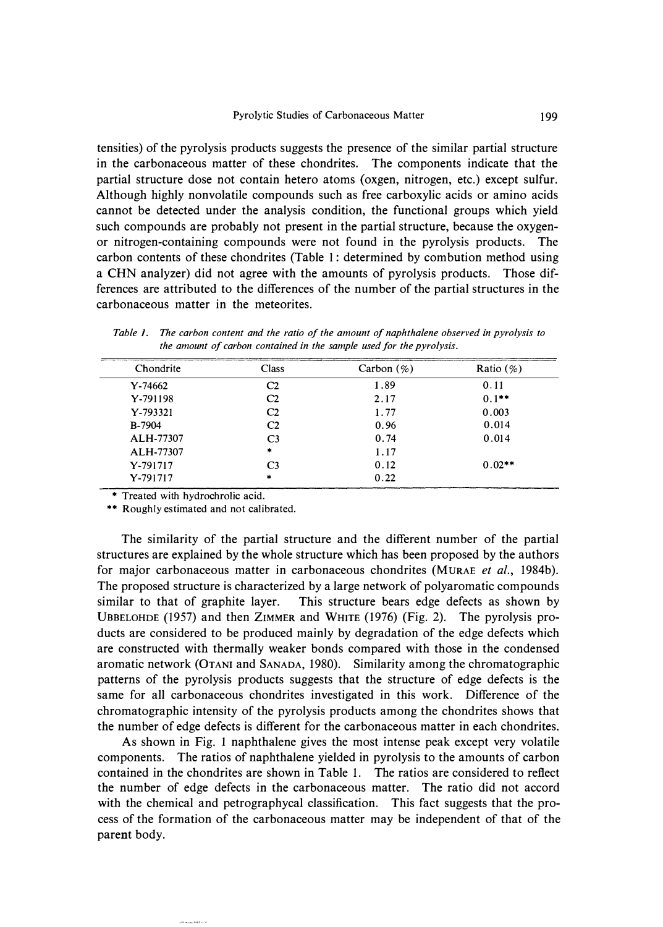tensities) of the pyrolysis products suggests the presence of the similar partial structure in the carbonaceous matter of these chondrites. The components indicate that the partial structure dose not contain hetero atoms (oxgen, nitrogen, etc.) except sulfur. Although highly nonvolatile compounds such as free carboxylic acids or amino acids cannot be detected under the analysis condition, the functional groups which yield such compounds are probably not present in the partial structure, because the oxygenor nitrogen-containing compounds were not found in the pyrolysis products. The carbon contents of these chondrites (Table 1 : determined by combution method using a CHN analyzer) did not agree with the amounts of pyrolysis products. Those differences are attributed to the differences of the number of the partial structures in the carbonaceous matter in the meteorites.

*Table 1. The carbon content and the ratio of the amount of naphthalene observed in pyrolysis to the amount of carbon contained in the sample used for the pyrolysis.* 

| Chondrite     | Class          | Carbon $(\%)$ | Ratio $(\%)$ |
|---------------|----------------|---------------|--------------|
| $Y - 74662$   | C2             | 1.89          | 0.11         |
| Y-791198      | C <sub>2</sub> | 2.17          | $0.1***$     |
| Y-793321      | C <sub>2</sub> | 1.77          | 0.003        |
| <b>B-7904</b> | C <sub>2</sub> | 0.96          | 0.014        |
| ALH-77307     | C <sub>3</sub> | 0.74          | 0.014        |
| ALH-77307     | $\ast$         | 1.17          |              |
| Y-791717      | C <sub>3</sub> | 0.12          | $0.02**$     |
| Y-791717      | $\star$        | 0.22          |              |

\* Treated with hydrochrolic acid.

\*\* Roughly estimated and not calibrated.

The similarity of the partial structure and the different number of the partial structures are explained by the whole structure which has been proposed by the authors for major carbonaceous matter in carbonaceous chondrites (MURAE *et al.,* 1984b). The proposed structure is characterized by a large network of polyaromatic compounds similar to that of graphite layer. This structure bears edge defects as shown by UBBELOHDE (1957) and then ZIMMER and **WHITE** (1976) (Fig. 2). The pyrolysis products are considered to be produced mainly by degradation of the edge defects which are constructed with thermally weaker bonds compared with those in the condensed aromatic network (OTANI and SANADA, 1980). Similarity among the chromatographic patterns of the pyrolysis products suggests that the structure of edge defects is the same for all carbonaceous chondrites investigated in this work. Difference of the chromatographic intensity of the pyrolysis products among the chondrites shows that the number of edge defects is different for the carbonaceous matter in each chondrites.

As shown in Fig. I naphthalene gives the most intense peak except very volatile components. The ratios of naphthalene yielded in pyrolysis to the amounts of carbon contained in the chondrites are shown in Table 1. The ratios are considered to reflect the number of edge defects in the carbonaceous matter. The ratio did not accord with the chemical and petrographycal classification. This fact suggests that the process of the formation of the carbonaceous matter may be independent of that of the parent body.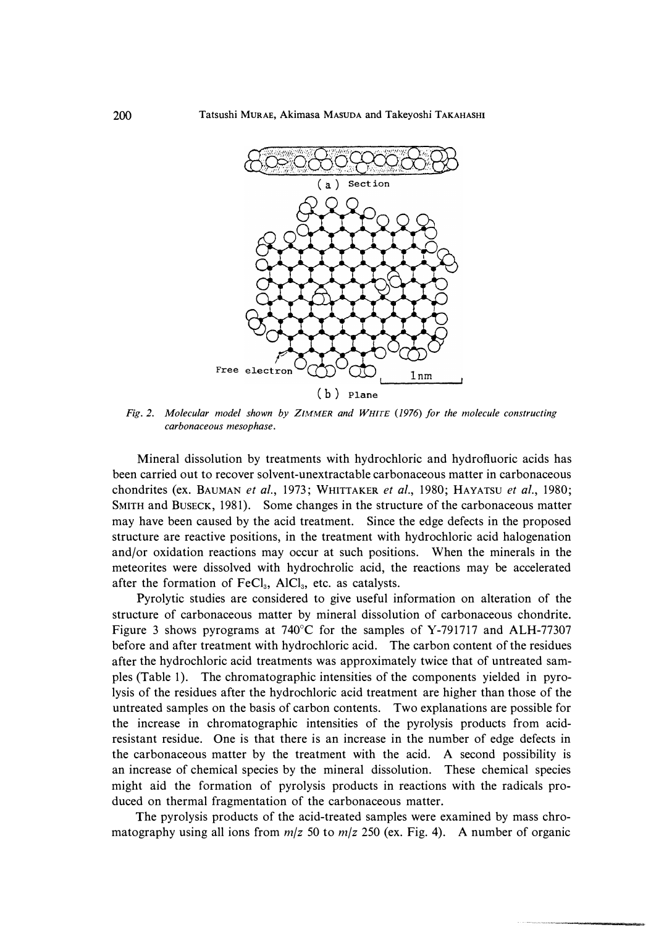

*Fig. 2. Molecular model shown by ZIMMER and WHITE (1976) for the molecule constructing carbonaceous mesophase.* 

**Mineral dissolution by treatments with hydrochloric and hydrofluoric acids has been carried out to recover solvent-unextractable carbonaceous matter in carbonaceous chondrites (ex. BAUMAN** *et al.,* **1973; WHITTAKER** *et al. ,* **1980; HAYATSU** *et al. ,* **198 0; SMITH and BUSECK, 198 1). Some changes in the structure of the carbonaceous matter may have been caused by the acid treatment. Since the edge defects in the proposed structure are reactive positions, in the treatment with hydrochloric acid halogenation and/or oxidation reactions may occur at such positions. When the minerals in the meteorites were dissolved with hydrochrolic acid, the reactions may be accelerated after the formation of FeC1<sup>3</sup> , AIC1<sup>3</sup> , etc. as catalysts.** 

**Pyrolytic studies are considered to give useful information on alteration of the structure of carbonaceous matter by mineral dissolution of carbonaceous chondrite. Figure 3 shows pyrograms at 740**°**C for the samples of Y-791717 and ALH-77307 before and after treatment with hydrochloric acid. The carbon content of the residues after the hydrochloric acid treatments was approximately twice that of untreated samples (Table 1). The chromatographic intensities of the components yielded in pyrolysis of the residues after the hydrochloric acid treatment are higher than those of the untreated samples on the basis of carbon contents. Two explanations are possible for the increase in chromatographic intensities of the pyrolysis products from acidresistant residue. One is that there is an increase in the number of edge defects in the carbonaceous matter by the treatment with the acid. A second possibility is an increase of chemical species by the mineral dissolution. These chemical species might aid the formation of pyrolysis products in reactions with the radicals produced on thermal fragmentation of the carbonaceous matter.** 

**The pyrolysis products of the acid-treated samples were examined by mass chromatography using all ions from** *m/z* **50 to** *m/z* **250 (ex. Fig. 4). A number of organic**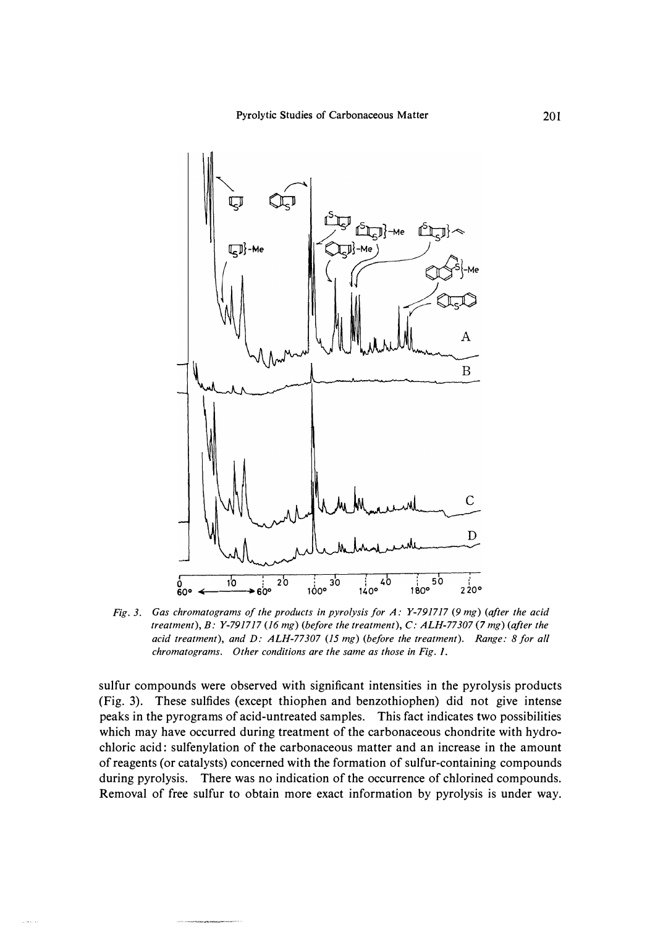

*Fig. 3. Gas chromatograms of the products in pyrolysis for A: Y-791717 (9 mg) (after the acid treatment*), B: Y-791717 (16 mg) (before the treatment), C: ALH-77307 (7 mg) (after the *acid treatment), and D: ALH-77307 (15 mg) (before the treatment). Range: 8 for all chromatograms. Other conditions are the same as those in Fig. I.* 

sulfur compounds were observed with significant intensities in the pyrolysis products (Fig. 3). These sulfides (except thiophen and benzothiophen) did not give intense peaks in the pyrograms of acid-untreated samples. This fact indicates two possibilities which may have occurred during treatment of the carbonaceous chondrite with hydrochloric acid : sulfenylation of the carbonaceous matter and an increase in the amount of reagents (or catalysts) concerned with the formation of sulfur-containing compounds during pyrolysis. There was no indication of the occurrence of chlorined compounds. Removal of free sulfur to obtain more exact information by pyrolysis is under way.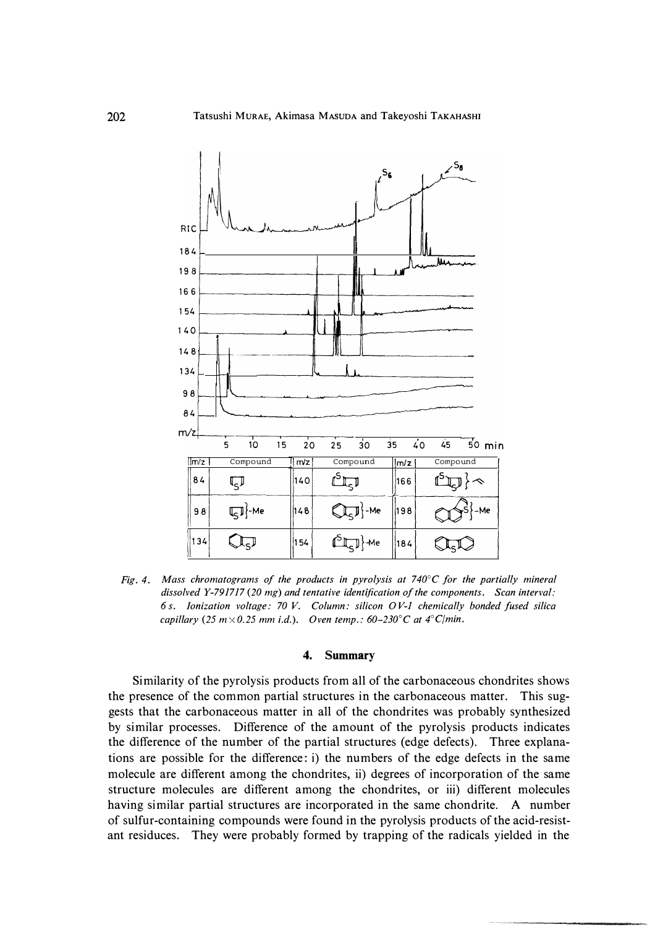

*Fig. 4. Mass chromatograms of the products in pyrolysis at 740°C for the partially mineral dissolved Y-791717 (20 mg) and tentative identification of the components. Scan interval: 6 s. Ionization voltage: 70 V. Column: silicon OV-1 chemically bonded fused silica capillary* (25  $m \times 0.25$  *mm i.d.*). Oven temp.: 60–230<sup>°</sup>*C* at 4<sup>°</sup>*C*/*min.* 

## **4. Summary**

**Similarity of the pyrolysis products from all of the carbonaceous chondrites shows the presence of the common partial structures in the carbonaceous matter. This suggests that the carbonaceous matter in all of the chondrites was probably synthesized by similar processes. Difference of the amount of the pyrolysis products indicates the difference of the number of the partial structures (edge defects). Three explanations are possible for the difference: i) the numbers of the edge defects in the same molecule are different among the chondrites, ii) degrees of incorporation of the same structure molecules are different among the chondrites, or iii) different molecules having similar partial structures are incorporated in the same chondrite. A number of sulfur-containing compounds were found in the pyrolysis products of the acid-resistant residuces. They were probably formed by trapping of the radicals yielded in the**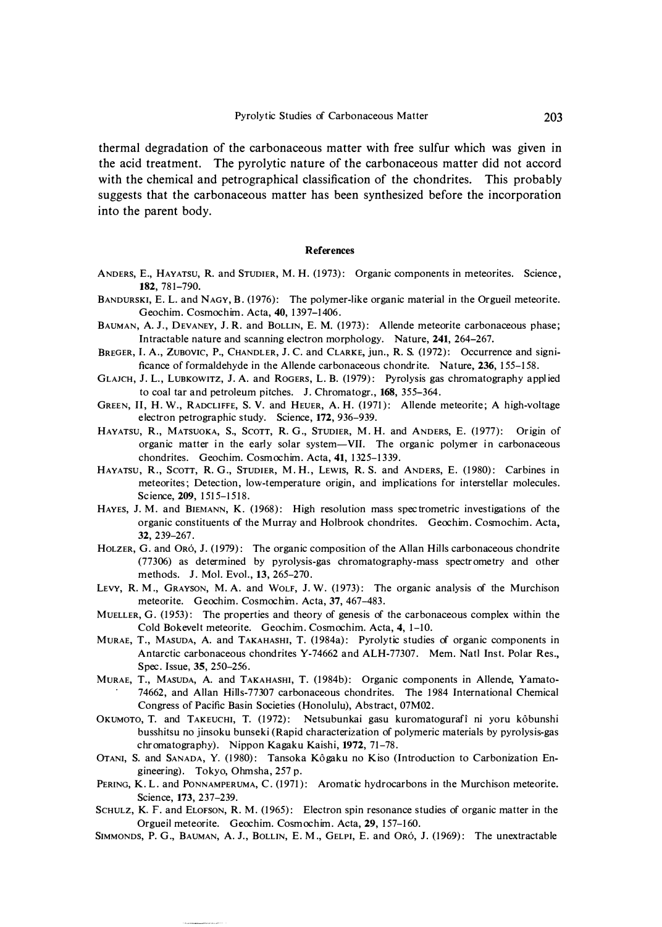thermal degradation of the carbonaceous matter with free sulfur which was given in the acid treatment. The pyrolytic nature of the carbonaceous matter did not accord with the chemical and petrographical classification of the chondrites. This probably suggests that the carbonaceous matter has been synthesized before the incorporation into the parent body.

#### **References**

- A NDERS, E., HAYATSU, **R.** and STUDIER, **M. H.** (1973): Organic components in meteorites. Science , **182,** 781-790.
- BANDURSKI, E. L. and NAGY, B. (1976): The polymer-like organic material in the Orgueil meteorite. Geochim. Cosmochim. Acta, **40,** 1397-1406.
- BAUMAN, A. J., DEVANEY, J. R. and BOLLIN, E. M. (1973): Allende meteorite carbonaceous phase; Intractable nature and scanning electron morphology. Nature, 241, 264-267.
- BREGER, I. A., Zueovic, P., CHANDLER, J. C. and CLARKE, jun., **R. S.** (1972): Occurrence and significance of formaldehyde in the Allende carbon aceous chondrite. Nature, **236,** 155-158.
- GLAJCH, J. L., LUBKOWITZ, J. A. and ROGERS, L. B. (1979): Pyrolysis gas chromatography a pplied to coal tar and petroleum pitches. J. Chromatogr., **168,** 355-364.
- GREEN, II, H. W., RADCLIFFE, S. V. and HEUER, A. H. (1971): Allende meteorite; A high-voltage e lectron petrogra phic study. Science, **172,** 936-939.
- HAYATSU, R., MATSUOKA, S., SCOTT, R. G., STUDIER, M. H. and ANDERS, E. (1977): Origin of organic matter in the early solar system-VII. The organic polymer in carbonaceous chondrites. Geochim. Cosmochim. Acta, **41,** 1325-13 39.
- HAYATSU, R., SCOTT, R. G., STUDIER, M. H., LEWIS, R. S. and ANDERS, E. (1980): Carbines in meteorites; Detection, low-temperature origin, and implications for interstellar molecules. Science, **209,** 1515-1518.
- HAYES, J. M. and BIEMANN, K. (1968): High resolution mass spectrometric investigations of the organic constituents of the Murray and Holbrook chondrites. Geochim. Cosmochim. Acta, **32,** 239-267.
- HOLZER, G. and ORÓ, J. (1979): The organic composition of the Allan Hills carbonaceous chondrite (77306) as determined by pyrolysis-gas chromatography -mass spectrometry and other methods. J. Mol. Evol., 13, 265-270.
- LEVY, R. M., GRAYSON, M. A. and WOLF, J. W.  $(1973)$ : The organic analysis of the Murchison meteorite. Geochim. Cosmochim. Acta, 37, 467-483.
- MUELLER, G. (1953): The properties and theory of genesis of the carbonaceous complex within the Cold Bokevelt meteorite. Geochim. Cosmochim. Acta, **4,** 1-10.
- MuRAE, T., MASUDA, A. and TAKAHASHI, T. (1984a): Pyrolytic studies of organic components in Antarctic carbon aceous chondrites Y-74662 and ALH-77307. Mem. Natl Inst. Polar Res., Spec. Issue, **35,** 250-256.
- MuRAE, T., MASUDA, A. and TAKAHASHI, T. (1984b): Organic components in A llende, Yamato 74662, and Allan Hills-77307 carbonaceous chondrites. The 1984 International Chemical Congress of Pacific Basin Societies (Honolulu), Abstract, 07M02.
- OKUMOTO, T. and TAKEUCHI, T. (1972): Netsubunkai gasu kuromatogurafi ni yoru kôbunshi busshitsu no jinsoku bunseki (Rapid characterization of polymeric materials by pyrolysis-gas chromatogra phy). Nippon Kagaku Kaishi, **1972,** 71-78.
- OTANI, S. and SANADA, Y. (1980): Tansoka Kôgaku no Kiso (Introduction to Carbonization Engineering). Tokyo, Ohmsha, 257 p.
- PERING, K. L. and PONNAMPERUMA, C. (1971): Aromatic hydrocarbons in the Murchison meteorite. Scien ce, **173,** 237-239.
- SCHULZ, K. F. and ELOFSON, R. M. (1965): Electron spin resonance studies of organic matter in the Orgueil meteorite. Geochim. Cosmochim. Acta, **29,** 157-160.
- SIMMONDS, P. G., BAUMAN, A. J., BOLLIN, E. M., GELPI, E. and Oró, J. (1969): The unextractable